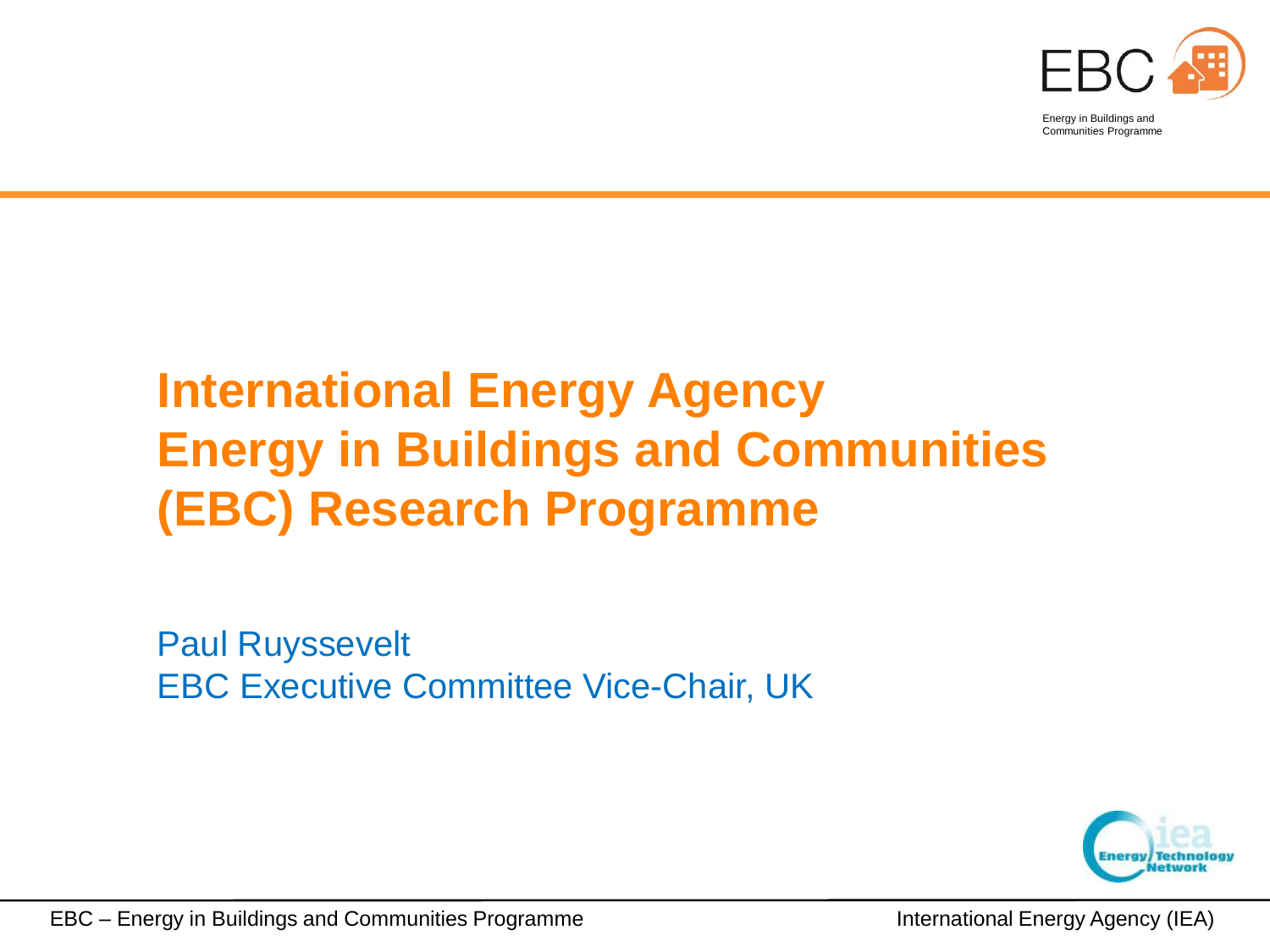

 Communities ProgrammeEnergy in Buildings and

#### **International Energy Agency Energy in Buildings and Communities (EBC) Research Programme**

Paul Ruyssevelt EBC Executive Committee Vice-Chair, UK

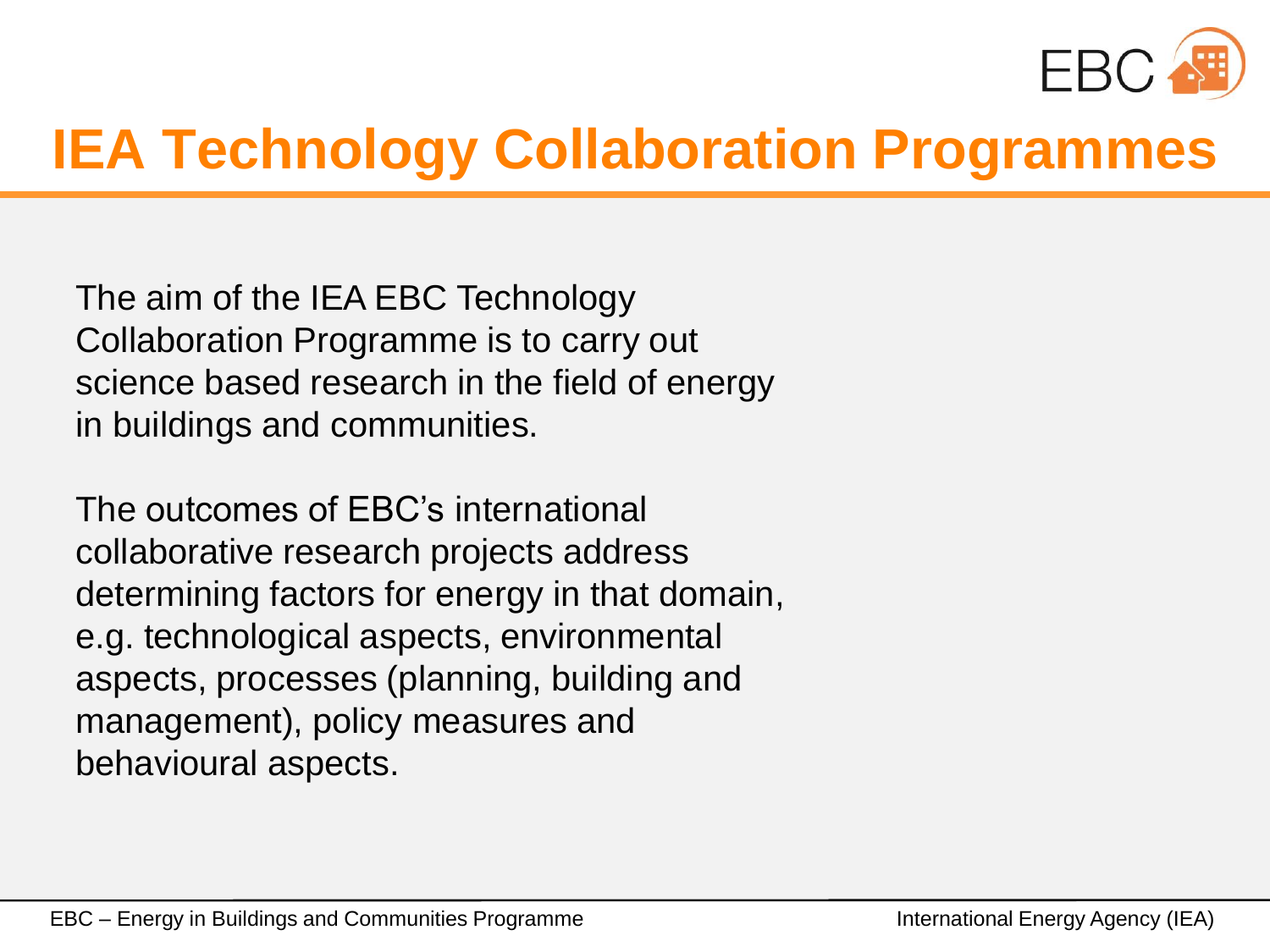

## **IEA Technology Collaboration Programmes**

The aim of the IEA EBC Technology Collaboration Programme is to carry out science based research in the field of energy in buildings and communities.

The outcomes of EBC's international collaborative research projects address determining factors for energy in that domain, e.g. technological aspects, environmental aspects, processes (planning, building and management), policy measures and behavioural aspects.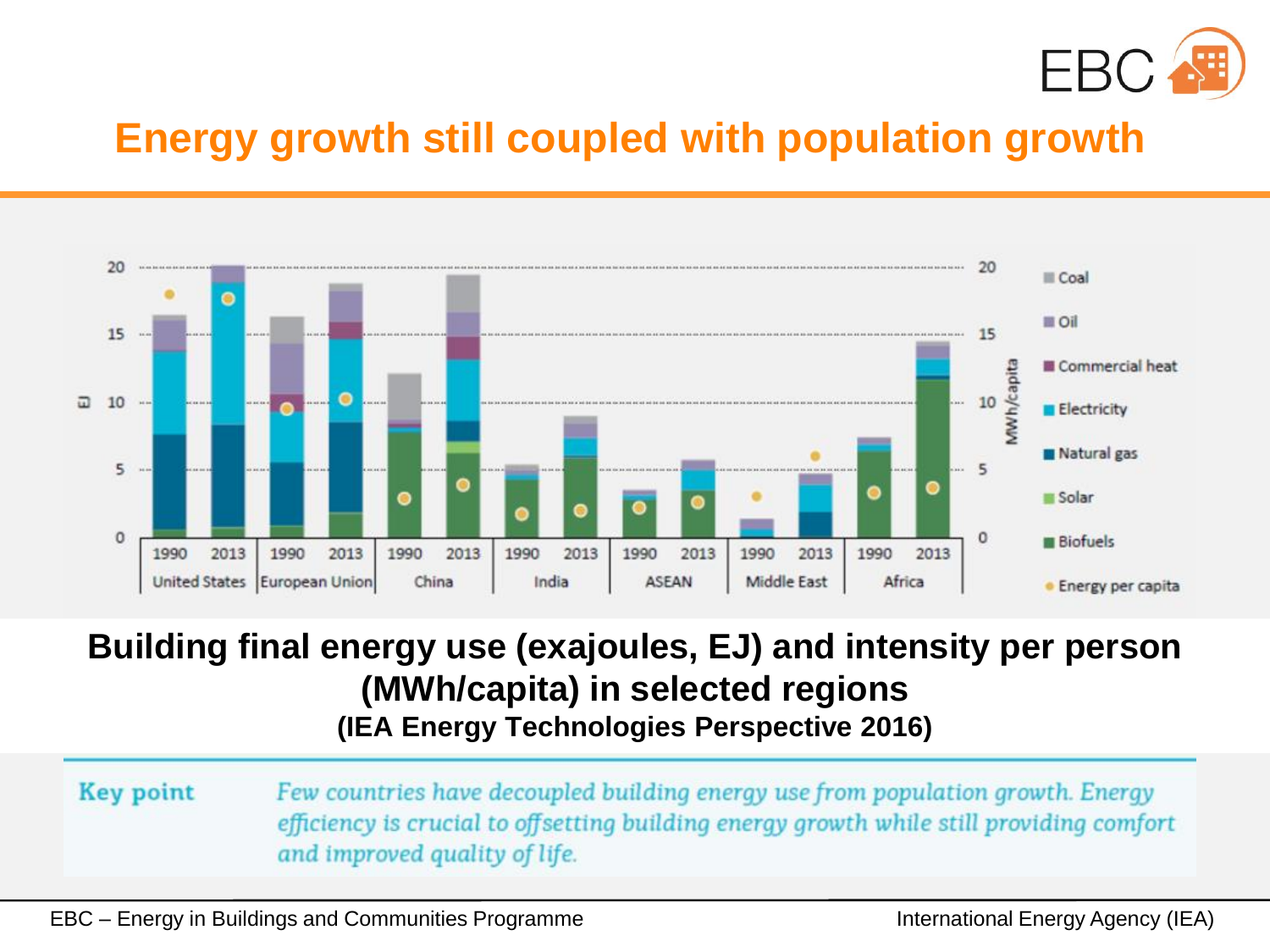

#### **Energy growth still coupled with population growth**



#### **Building final energy use (exajoules, EJ) and intensity per person (MWh/capita) in selected regions (IEA Energy Technologies Perspective 2016)**

**Key point** Few countries have decoupled building energy use from population growth. Energy efficiency is crucial to offsetting building energy growth while still providing comfort and improved quality of life.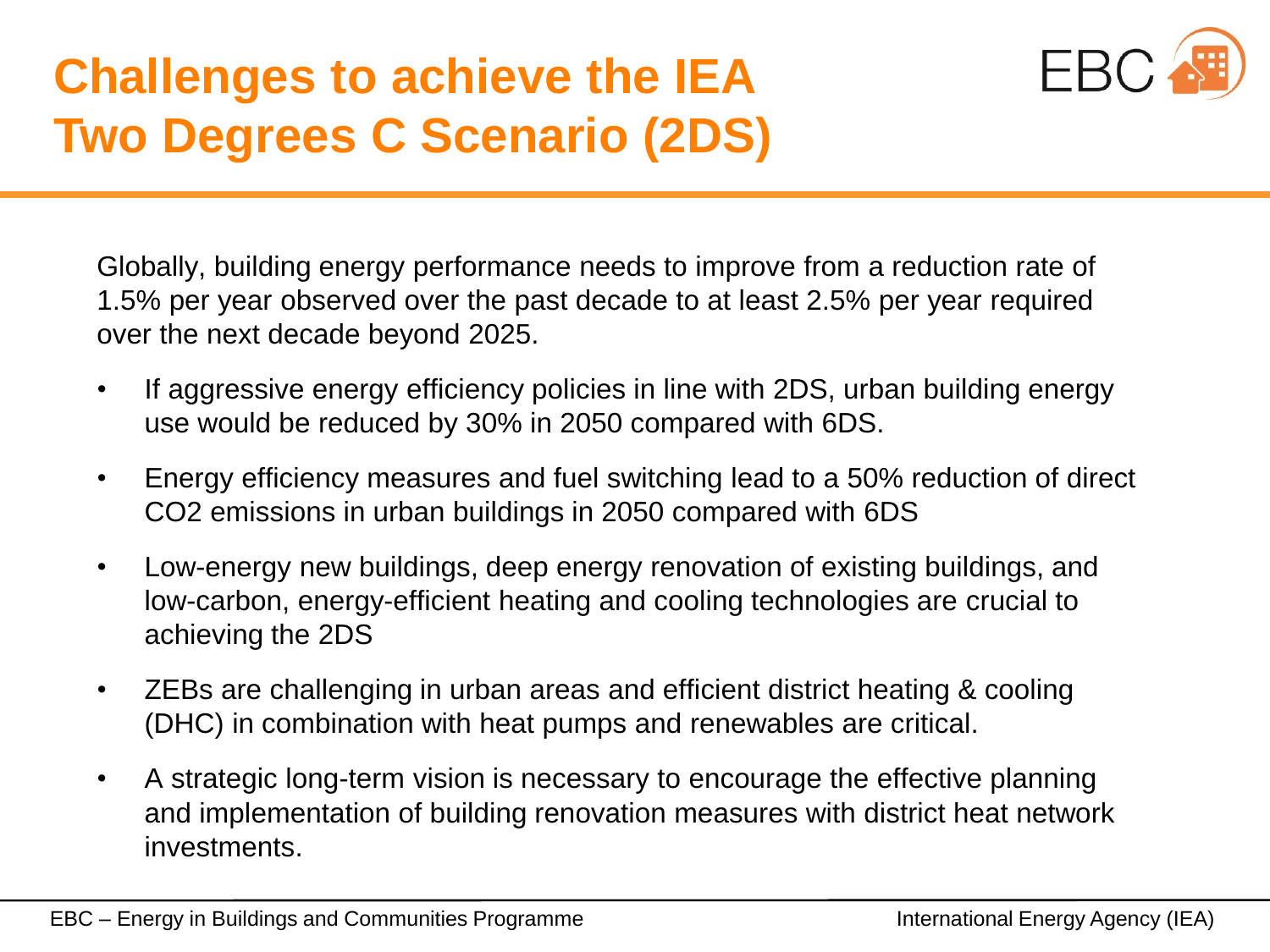#### **Challenges to achieve the IEA Two Degrees C Scenario (2DS)**



Globally, building energy performance needs to improve from a reduction rate of 1.5% per year observed over the past decade to at least 2.5% per year required over the next decade beyond 2025.

- If aggressive energy efficiency policies in line with 2DS, urban building energy use would be reduced by 30% in 2050 compared with 6DS.
- Energy efficiency measures and fuel switching lead to a 50% reduction of direct CO2 emissions in urban buildings in 2050 compared with 6DS
- Low-energy new buildings, deep energy renovation of existing buildings, and low-carbon, energy-efficient heating and cooling technologies are crucial to achieving the 2DS
- ZEBs are challenging in urban areas and efficient district heating & cooling (DHC) in combination with heat pumps and renewables are critical.
- A strategic long-term vision is necessary to encourage the effective planning and implementation of building renovation measures with district heat network investments.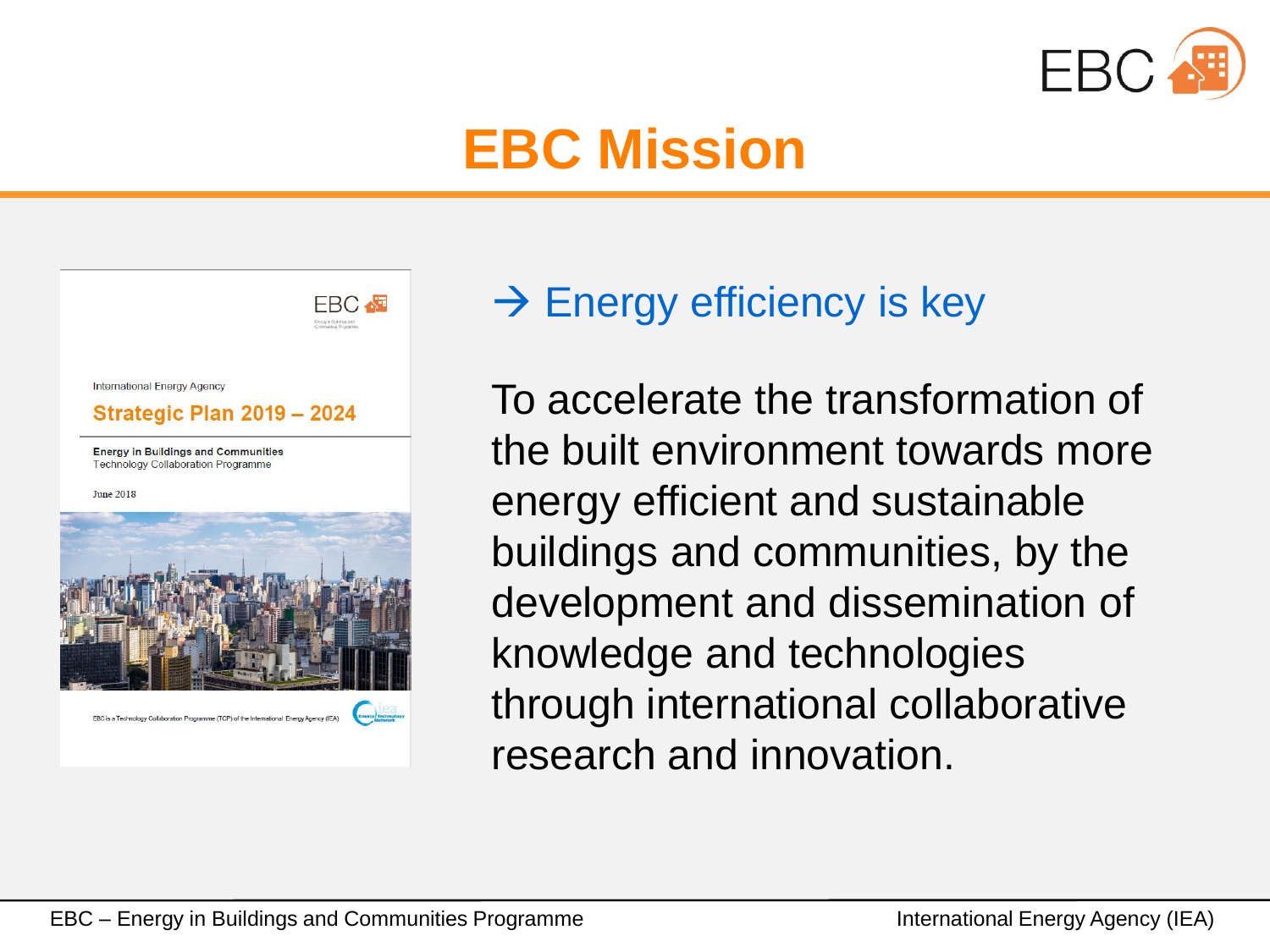

### **EBC Mission**



#### $\rightarrow$  Energy efficiency is key

To accelerate the transformation of the built environment towards more energy efficient and sustainable buildings and communities, by the development and dissemination of knowledge and technologies through international collaborative research and innovation.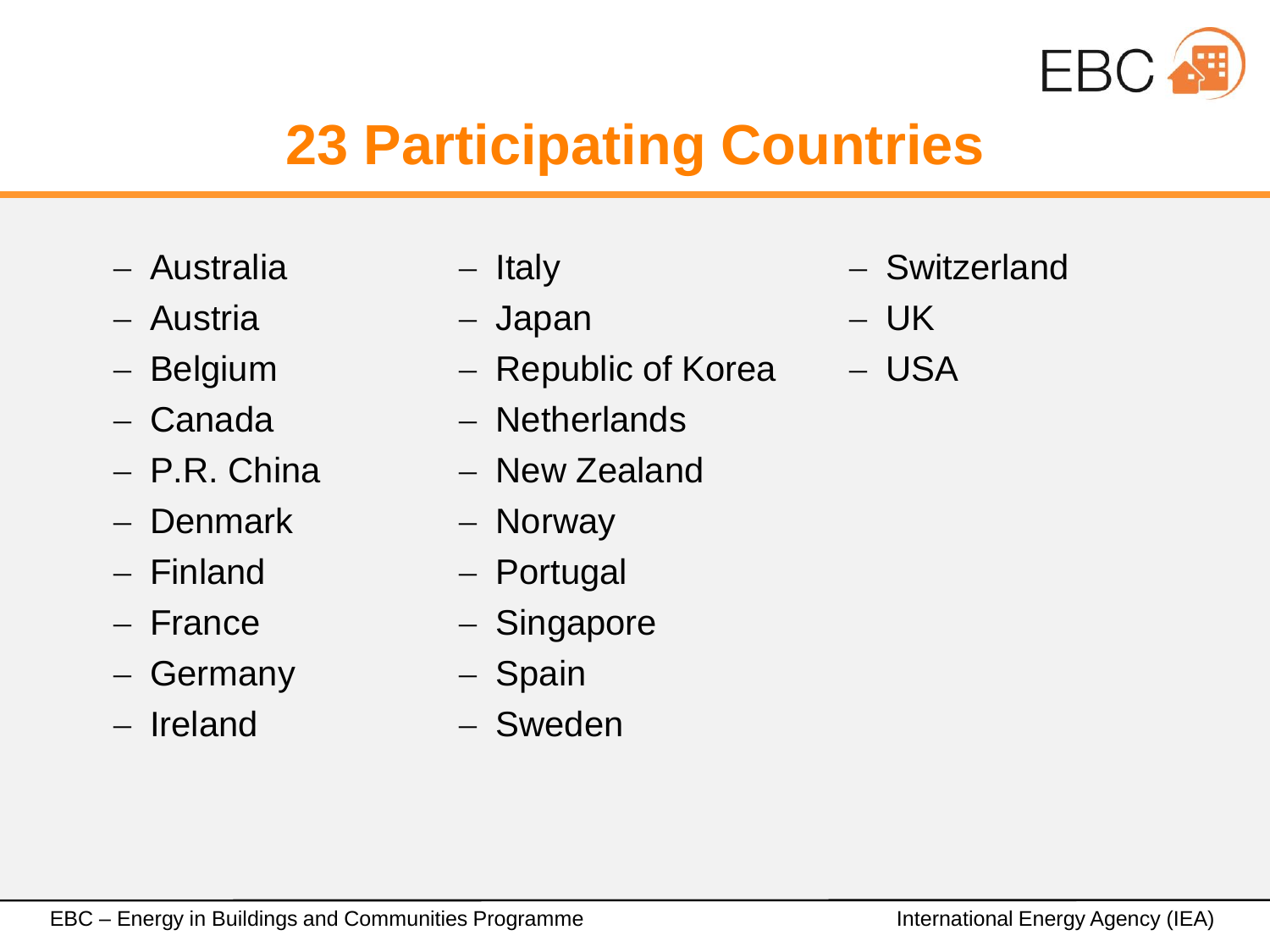

# **23 Participating Countries**

- Australia
- Austria
- Belgium
- Canada
- P.R. China
- **Denmark**
- Finland
- France
- Germany
- Ireland
- Italy
- Japan
- Republic of Korea
- Netherlands
- New Zealand
- Norway
- Portugal
- Singapore
- Spain
- Sweden
- Switzerland
- UK
- USA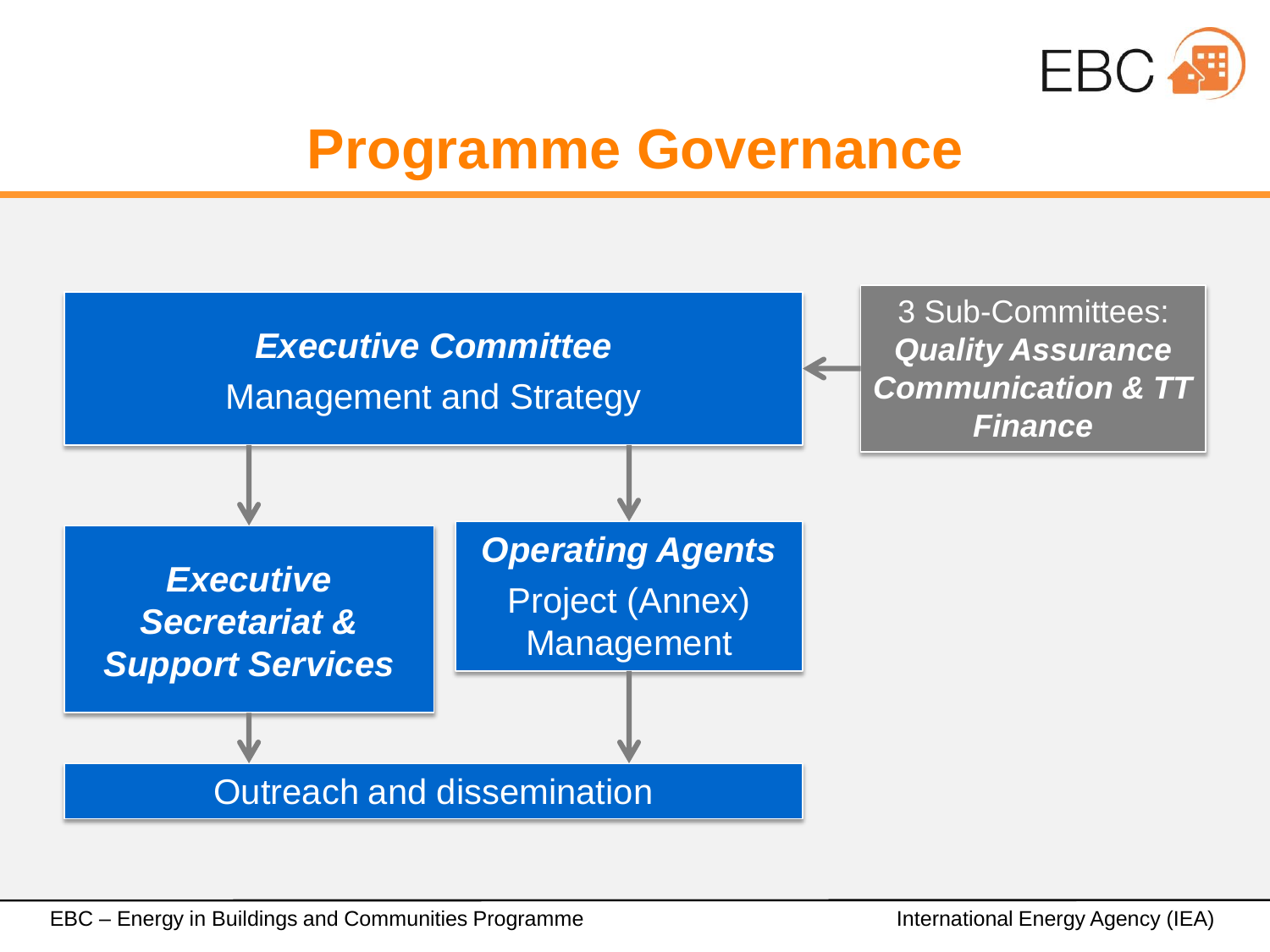

#### **Programme Governance**

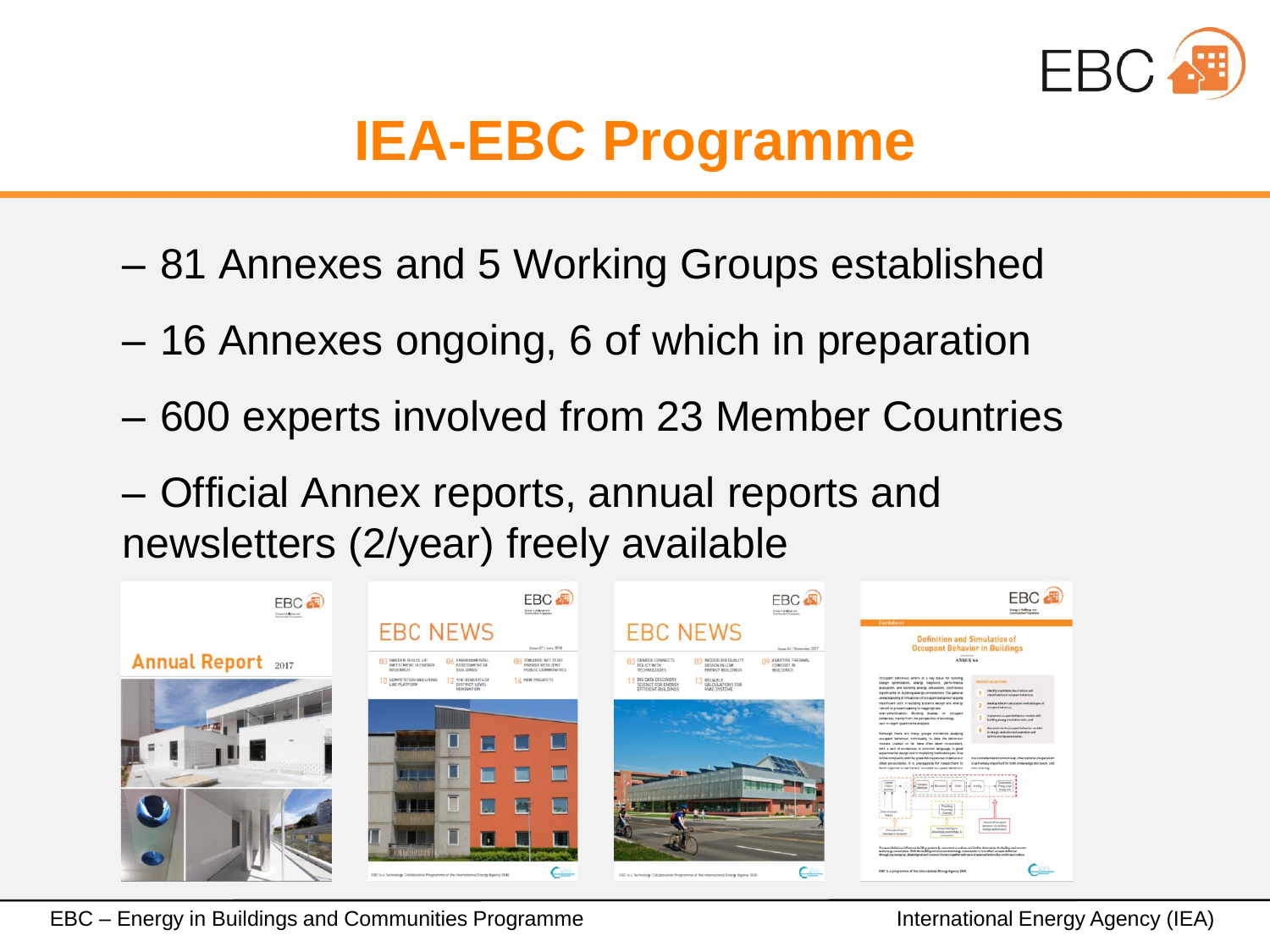

# **IEA-EBC Programme**

- 81 Annexes and 5 Working Groups established
- 16 Annexes ongoing, 6 of which in preparation
- 600 experts involved from 23 Member Countries
- Official Annex reports, annual reports and newsletters (2/year) freely available

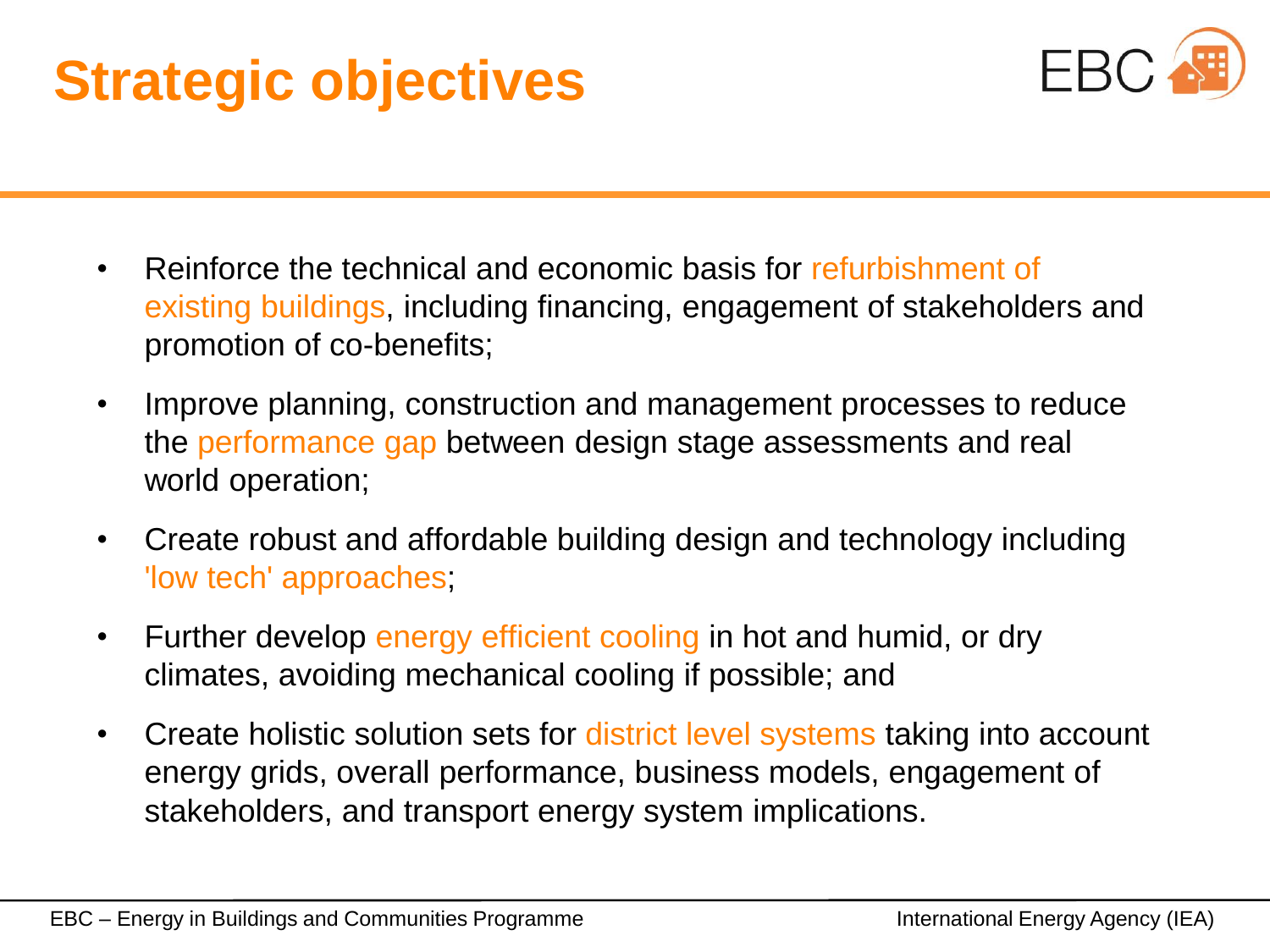# **Strategic objectives**



- Reinforce the technical and economic basis for refurbishment of existing buildings, including financing, engagement of stakeholders and promotion of co-benefits;
- Improve planning, construction and management processes to reduce the performance gap between design stage assessments and real world operation;
- Create robust and affordable building design and technology including 'low tech' approaches;
- Further develop energy efficient cooling in hot and humid, or dry climates, avoiding mechanical cooling if possible; and
- Create holistic solution sets for district level systems taking into account energy grids, overall performance, business models, engagement of stakeholders, and transport energy system implications.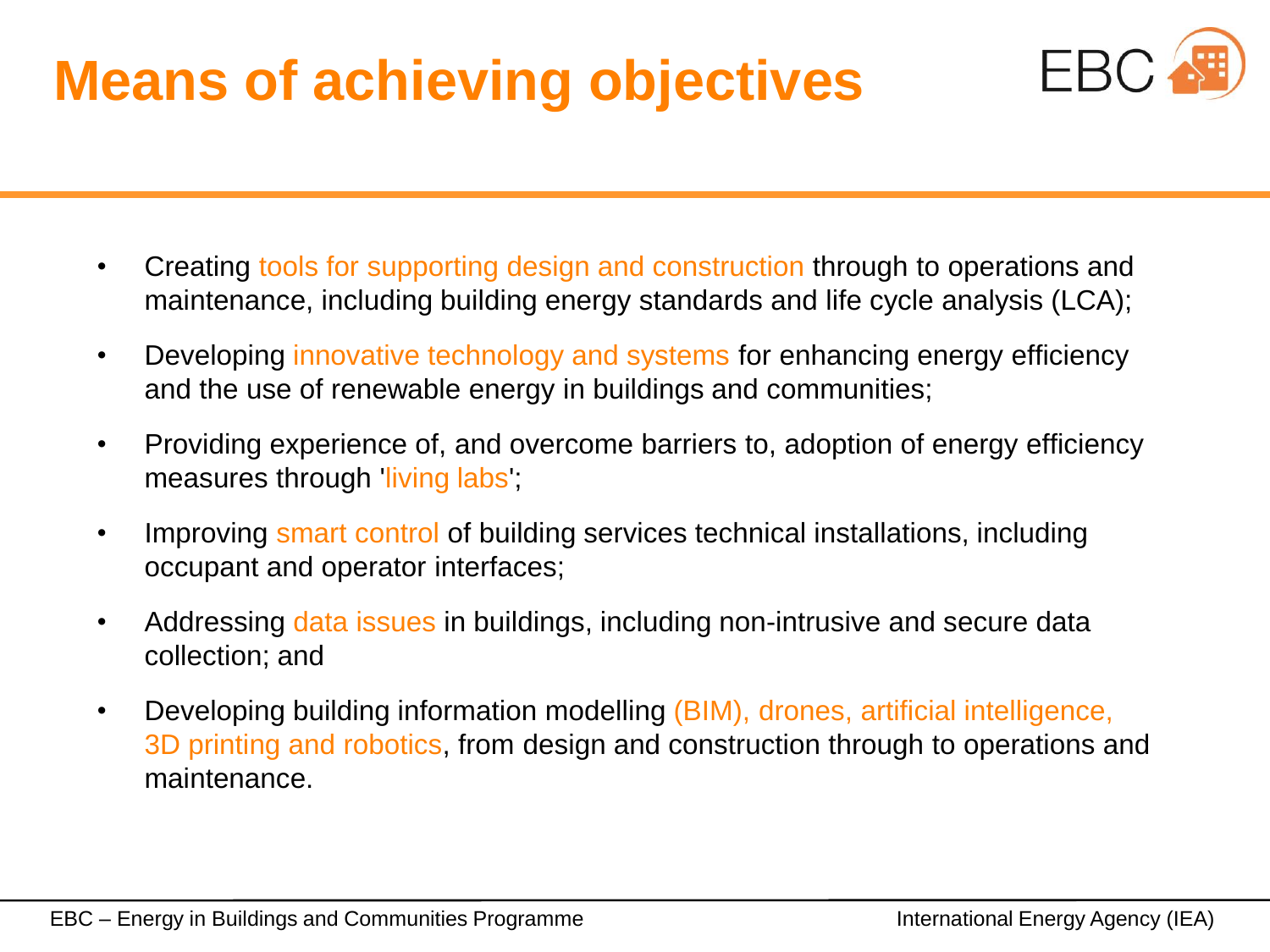# **Means of achieving objectives**



- Creating tools for supporting design and construction through to operations and maintenance, including building energy standards and life cycle analysis (LCA);
- Developing innovative technology and systems for enhancing energy efficiency and the use of renewable energy in buildings and communities;
- Providing experience of, and overcome barriers to, adoption of energy efficiency measures through living labs',
- Improving smart control of building services technical installations, including occupant and operator interfaces;
- Addressing data issues in buildings, including non-intrusive and secure data collection; and
- Developing building information modelling (BIM), drones, artificial intelligence, 3D printing and robotics, from design and construction through to operations and maintenance.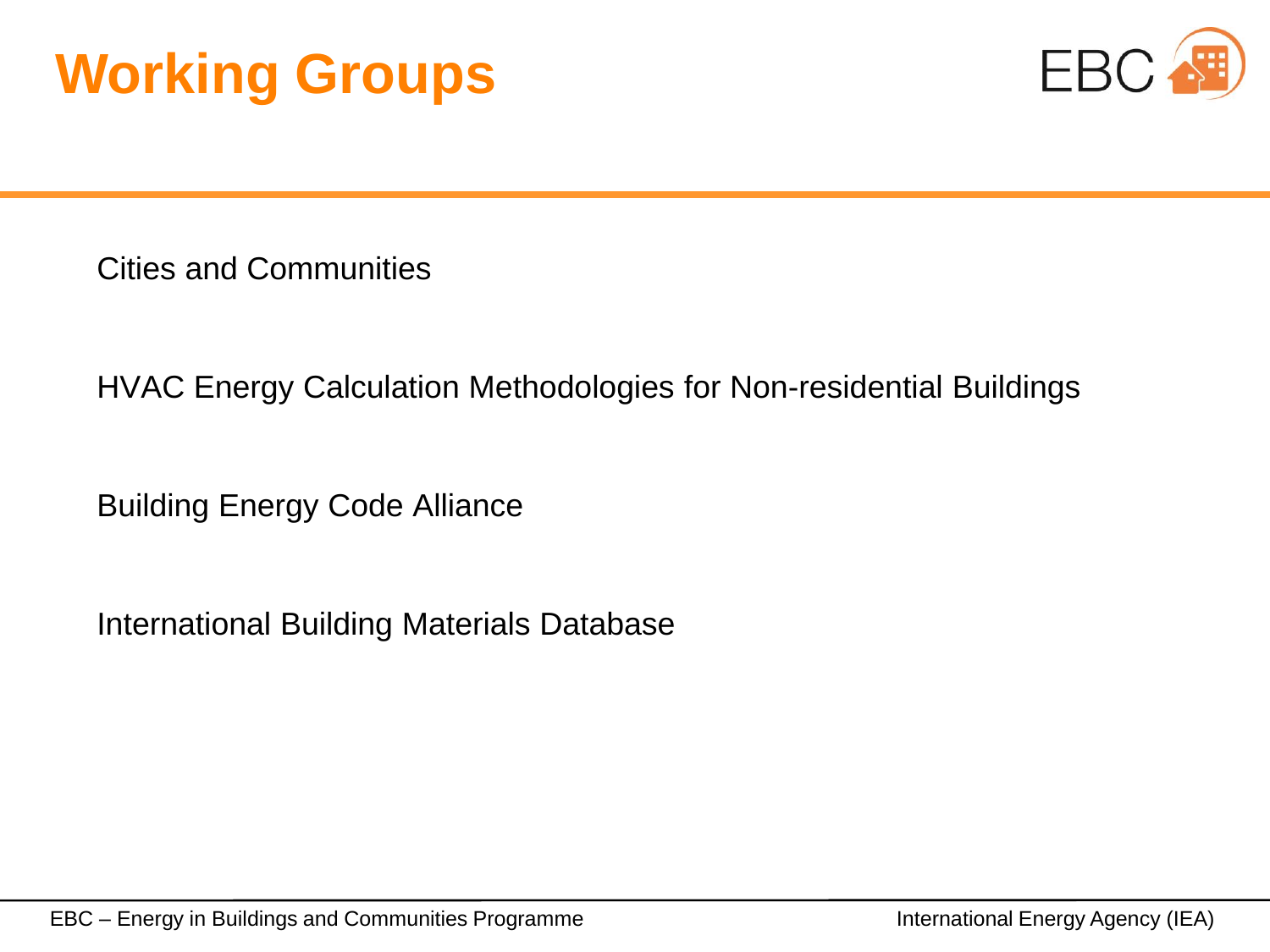



Cities and Communities

HVAC Energy Calculation Methodologies for Non-residential Buildings

Building Energy Code Alliance

International Building Materials Database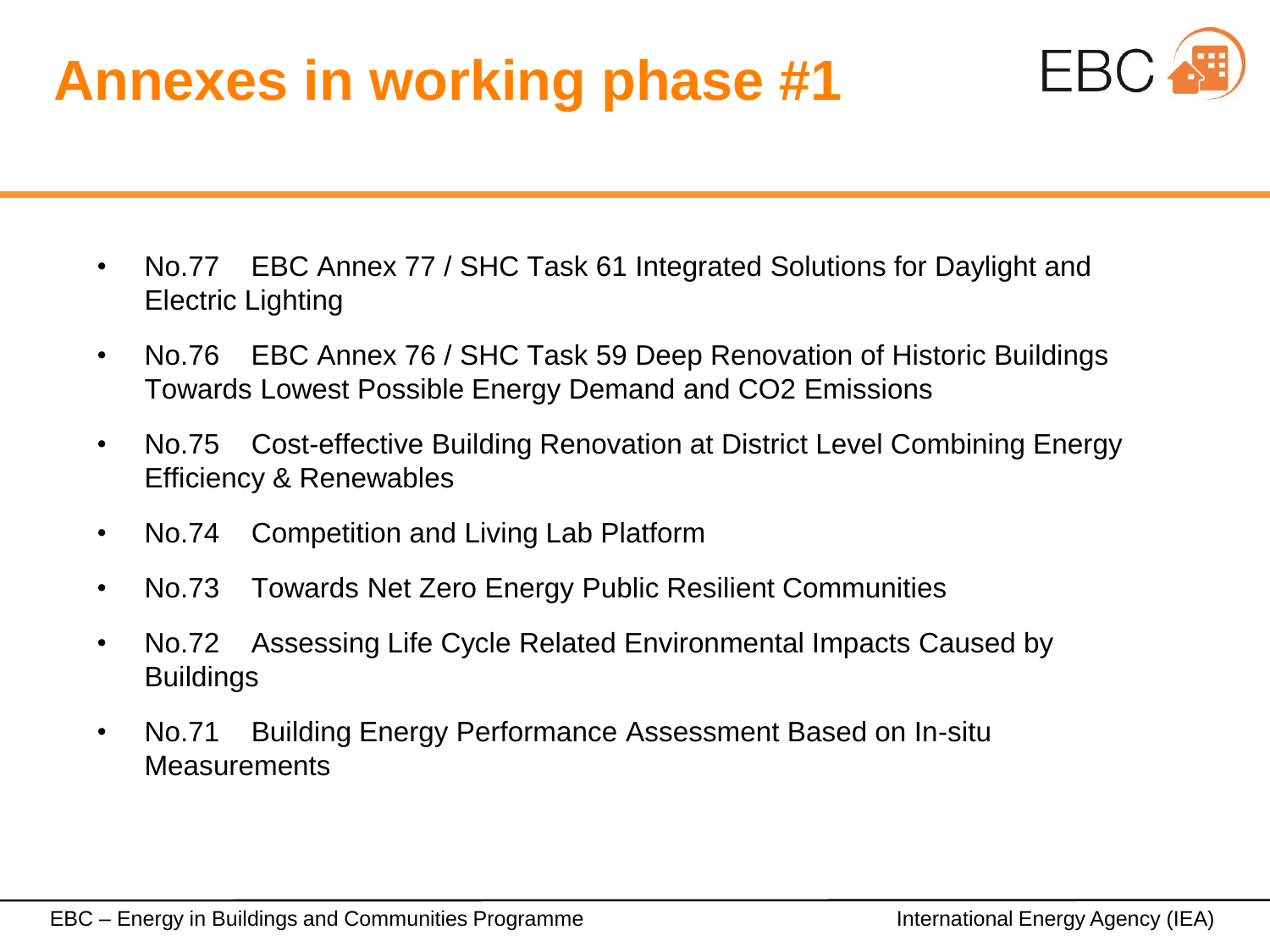# **Annexes in working phase #1**



- No.77 EBC Annex 77 / SHC Task 61 Integrated Solutions for Daylight and Electric Lighting
- No.76 EBC Annex 76 / SHC Task 59 Deep Renovation of Historic Buildings Towards Lowest Possible Energy Demand and CO2 Emissions
- No.75 Cost-effective Building Renovation at District Level Combining Energy Efficiency & Renewables
- No.74 Competition and Living Lab Platform
- No.73 Towards Net Zero Energy Public Resilient Communities
- No.72 Assessing Life Cycle Related Environmental Impacts Caused by **Buildings**
- No.71 Building Energy Performance Assessment Based on In-situ **Measurements**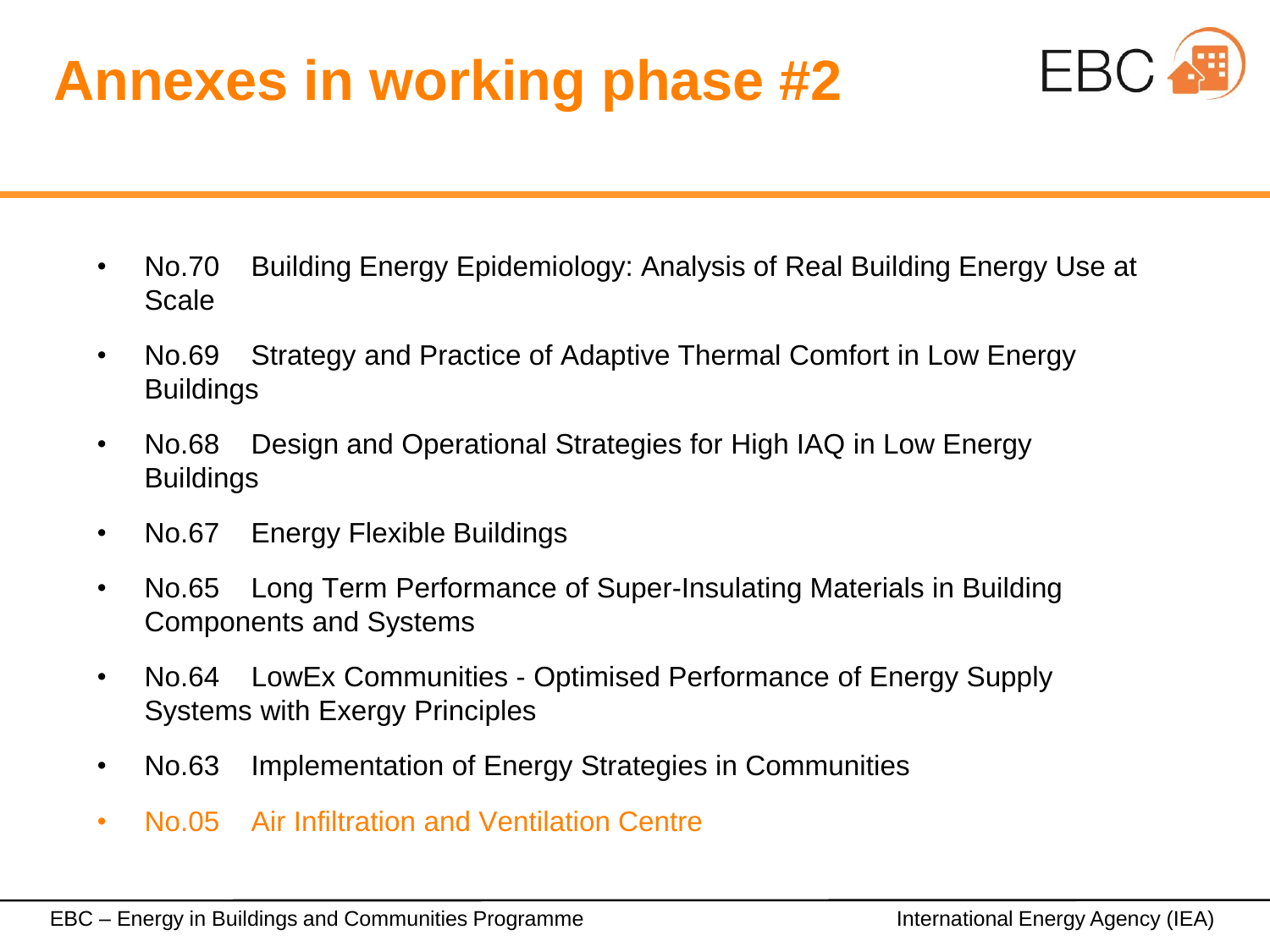# **Annexes in working phase #2**



- No.70 Building Energy Epidemiology: Analysis of Real Building Energy Use at Scale
- No.69 Strategy and Practice of Adaptive Thermal Comfort in Low Energy **Buildings**
- No.68 Design and Operational Strategies for High IAQ in Low Energy Buildings
- No.67 Energy Flexible Buildings
- No.65 Long Term Performance of Super-Insulating Materials in Building Components and Systems
- No.64 LowEx Communities Optimised Performance of Energy Supply Systems with Exergy Principles
- No.63 Implementation of Energy Strategies in Communities
- No.05 Air Infiltration and Ventilation Centre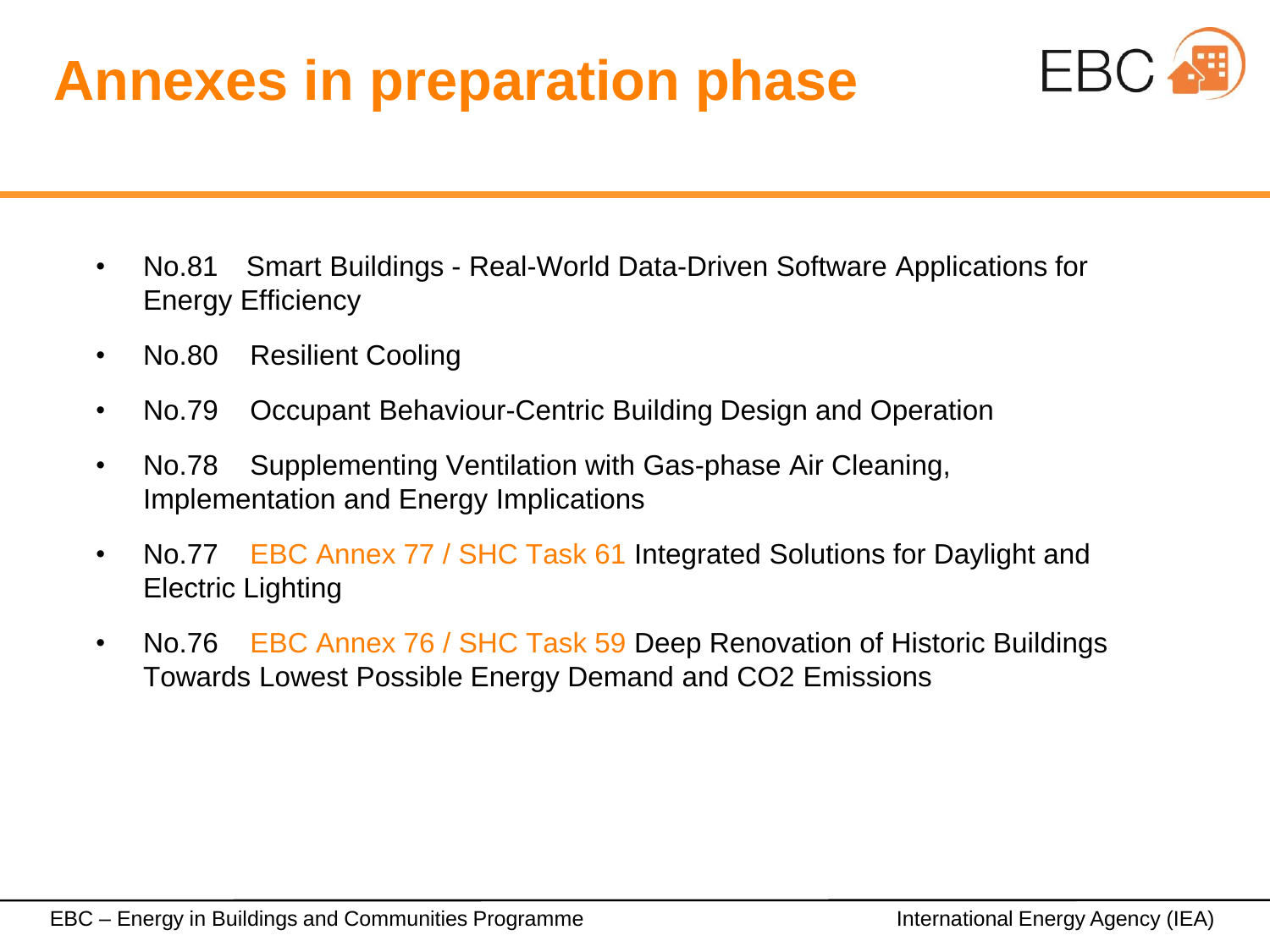# **Annexes in preparation phase**



- No.81 Smart Buildings Real-World Data-Driven Software Applications for Energy Efficiency
- No.80 Resilient Cooling
- No.79 Occupant Behaviour-Centric Building Design and Operation
- No.78 Supplementing Ventilation with Gas-phase Air Cleaning, Implementation and Energy Implications
- No.77 EBC Annex 77 / SHC Task 61 Integrated Solutions for Daylight and Electric Lighting
- No.76 EBC Annex 76 / SHC Task 59 Deep Renovation of Historic Buildings Towards Lowest Possible Energy Demand and CO2 Emissions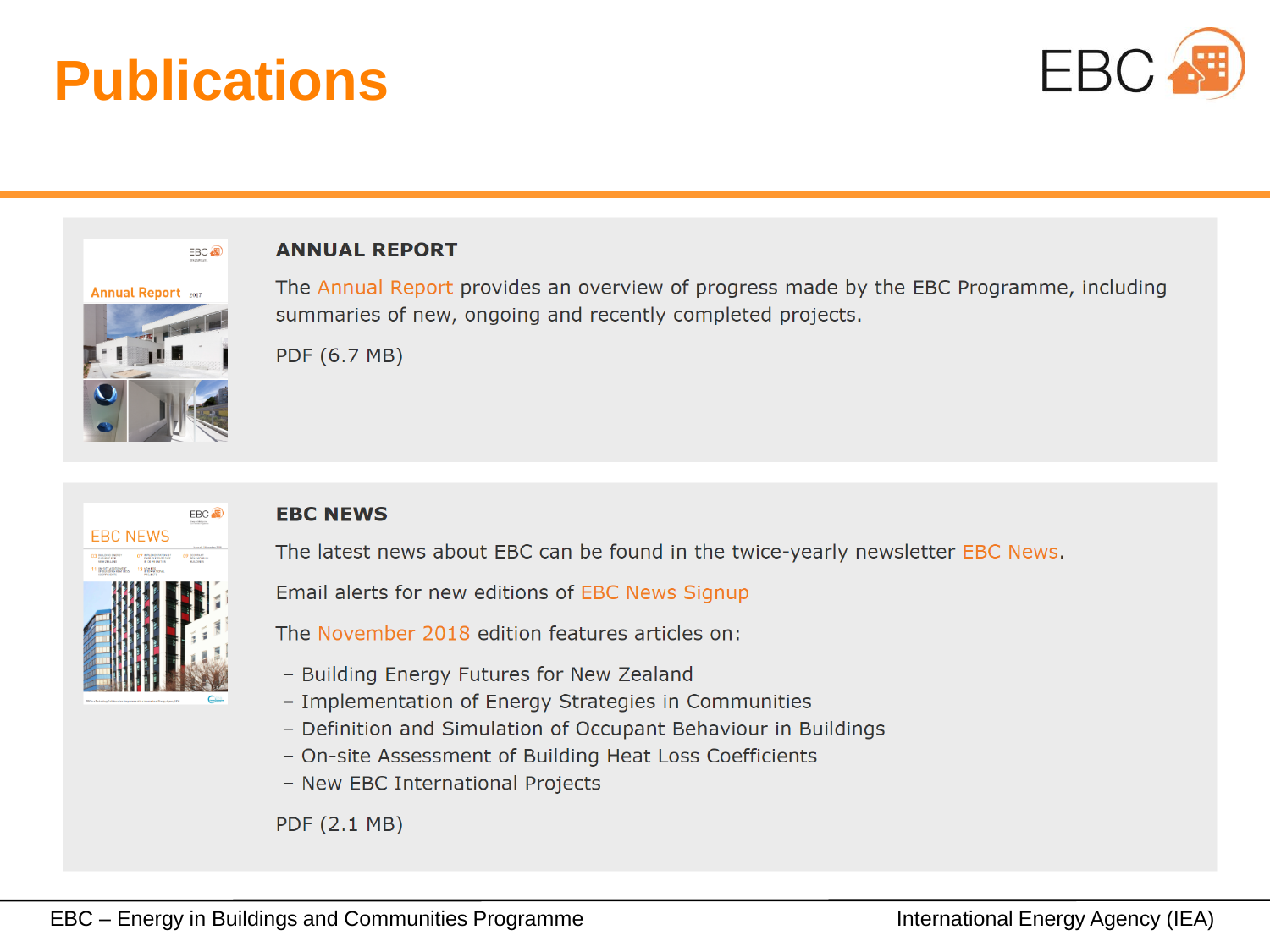## **Publications**





#### **ANNUAL REPORT**

The Annual Report provides an overview of progress made by the EBC Programme, including summaries of new, ongoing and recently completed projects.

PDF (6.7 MB)



#### **EBC NEWS**

The latest news about EBC can be found in the twice-yearly newsletter EBC News.

Email alerts for new editions of EBC News Signup

The November 2018 edition features articles on:

- Building Energy Futures for New Zealand
- Implementation of Energy Strategies in Communities
- Definition and Simulation of Occupant Behaviour in Buildings
- On-site Assessment of Building Heat Loss Coefficients
- New EBC International Projects

PDF (2.1 MB)